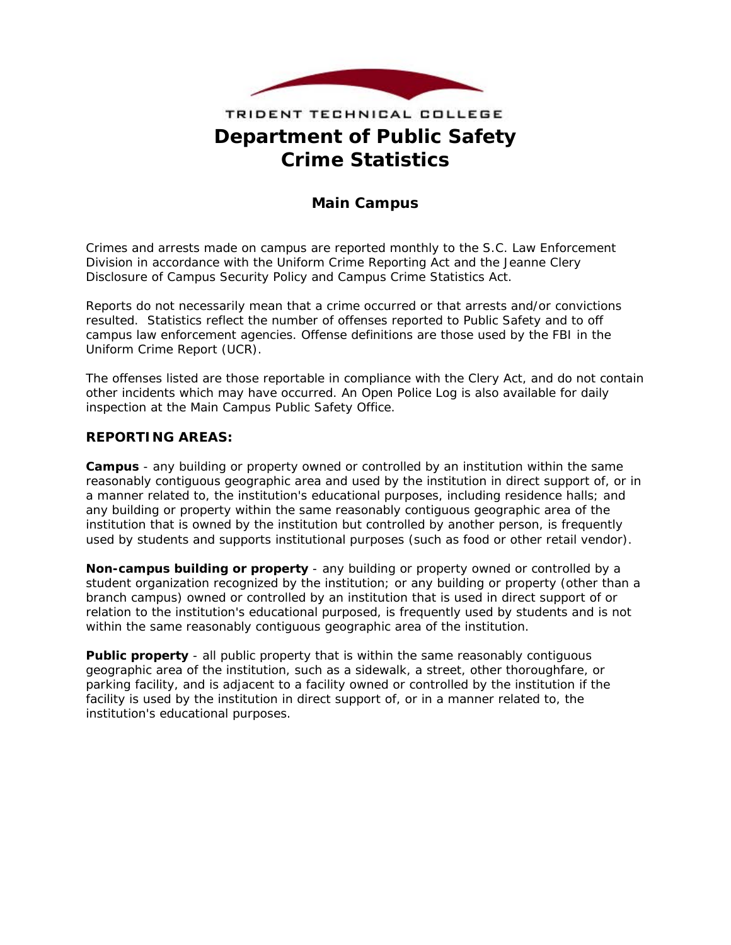

# **Department of Public Safety Crime Statistics**  TRIDENT TECHNICAL COLLEGE

## **Main Campus**

Crimes and arrests made on campus are reported monthly to the S.C. Law Enforcement Division in accordance with the Uniform Crime Reporting Act and the Jeanne Clery Disclosure of Campus Security Policy and Campus Crime Statistics Act.

Reports do not necessarily mean that a crime occurred or that arrests and/or convictions resulted. Statistics reflect the number of offenses reported to Public Safety and to off campus law enforcement agencies. Offense definitions are those used by the FBI in the Uniform Crime Report (UCR).

The offenses listed are those reportable in compliance with the Clery Act, and do not contain other incidents which may have occurred. An Open Police Log is also available for daily inspection at the Main Campus Public Safety Office.

#### **REPORTING AREAS:**

**Campus** - any building or property owned or controlled by an institution within the same reasonably contiguous geographic area and used by the institution in direct support of, or in a manner related to, the institution's educational purposes, including residence halls; and any building or property within the same reasonably contiguous geographic area of the institution that is owned by the institution but controlled by another person, is frequently used by students and supports institutional purposes (such as food or other retail vendor).

**Non-campus building or property** - any building or property owned or controlled by a student organization recognized by the institution; or any building or property (other than a branch campus) owned or controlled by an institution that is used in direct support of or relation to the institution's educational purposed, is frequently used by students and is not within the same reasonably contiguous geographic area of the institution.

**Public property** - all public property that is within the same reasonably contiguous geographic area of the institution, such as a sidewalk, a street, other thoroughfare, or parking facility, and is adjacent to a facility owned or controlled by the institution if the facility is used by the institution in direct support of, or in a manner related to, the institution's educational purposes.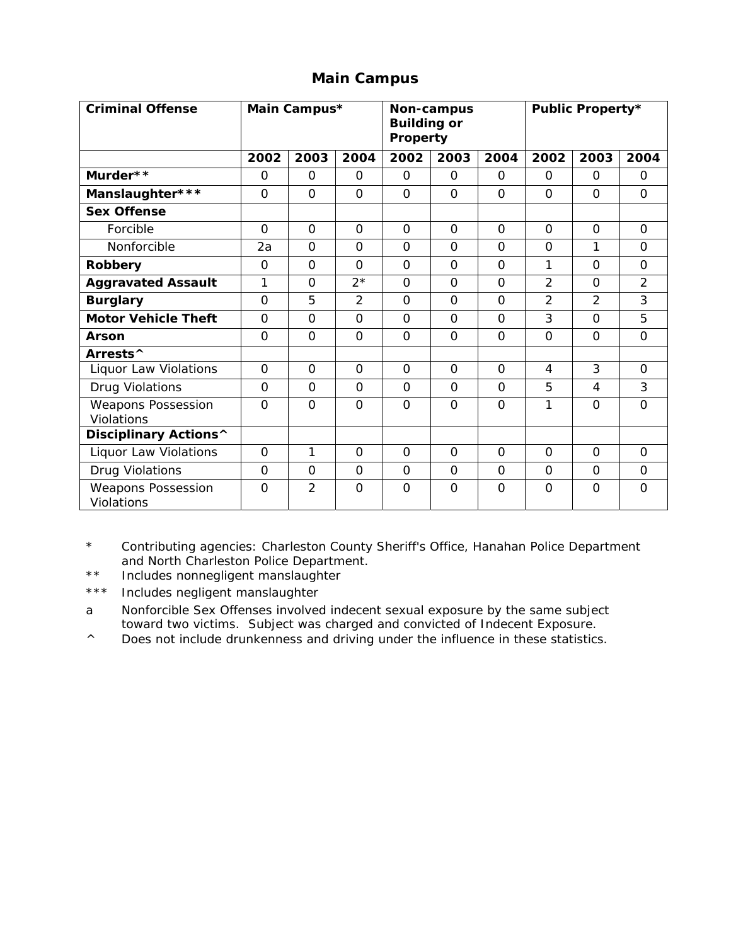### **Main Campus**

| <b>Criminal Offense</b>                        |                | Main Campus*   |                | <b>Building or</b><br>Property | Non-campus     |                | <b>Public Property*</b> |                |                |  |  |  |
|------------------------------------------------|----------------|----------------|----------------|--------------------------------|----------------|----------------|-------------------------|----------------|----------------|--|--|--|
|                                                | 2002           | 2003           | 2004           | 2002                           | 2003           | 2004           | 2002                    | 2003           | 2004           |  |  |  |
| Murder**                                       | $\Omega$       | $\Omega$       | $\Omega$       | $\Omega$                       | $\Omega$       | $\Omega$       | $\Omega$                | $\Omega$       | $\Omega$       |  |  |  |
| Manslaughter***                                | $\Omega$       | $\Omega$       | $\Omega$       | $\Omega$                       | $\Omega$       | $\Omega$       | $\Omega$                | $\Omega$       | $\Omega$       |  |  |  |
| <b>Sex Offense</b>                             |                |                |                |                                |                |                |                         |                |                |  |  |  |
| Forcible                                       | $\Omega$       | $\Omega$       | $\Omega$       | $\Omega$                       | $\Omega$       | $\Omega$       | $\Omega$                | $\Omega$       | $\Omega$       |  |  |  |
| Nonforcible                                    | 2a             | $\Omega$       | $\Omega$       | $\Omega$                       | $\Omega$       | $\Omega$       | $\Omega$                | 1              | $\Omega$       |  |  |  |
| Robbery                                        | $\Omega$       | $\Omega$       | $\Omega$       | $\Omega$                       | $\Omega$       | $\Omega$       | 1                       | $\Omega$       | $\Omega$       |  |  |  |
| <b>Aggravated Assault</b>                      | 1              | $\Omega$       | $2*$           | $\Omega$                       | $\Omega$       | $\Omega$       | $\overline{2}$          | $\Omega$       | $\overline{2}$ |  |  |  |
| <b>Burglary</b>                                | $\Omega$       | 5              | 2              | $\Omega$                       | $\Omega$       | $\Omega$       | $\overline{2}$          | $\overline{2}$ | 3              |  |  |  |
| <b>Motor Vehicle Theft</b>                     | $\Omega$       | $\Omega$       | $\Omega$       | $\Omega$                       | $\Omega$       | $\Omega$       | 3                       | $\Omega$       | 5              |  |  |  |
| <b>Arson</b>                                   | $\Omega$       | $\Omega$       | $\Omega$       | $\Omega$                       | $\Omega$       | $\Omega$       | $\Omega$                | $\Omega$       | $\Omega$       |  |  |  |
| Arrests <sup>^</sup>                           |                |                |                |                                |                |                |                         |                |                |  |  |  |
| Liquor Law Violations                          | $\overline{O}$ | $\overline{O}$ | $\overline{0}$ | $\overline{O}$                 | $\overline{O}$ | $\overline{0}$ | $\overline{4}$          | 3              | $\Omega$       |  |  |  |
| Drug Violations                                | $\Omega$       | $\Omega$       | $\Omega$       | $\Omega$                       | $\Omega$       | $\Omega$       | 5                       | $\overline{4}$ | 3              |  |  |  |
| <b>Weapons Possession</b><br>Violations        | $\Omega$       | $\Omega$       | $\Omega$       | $\Omega$                       | $\Omega$       | $\Omega$       | 1                       | $\Omega$       | $\mathbf{O}$   |  |  |  |
| Disciplinary Actions^                          |                |                |                |                                |                |                |                         |                |                |  |  |  |
| Liquor Law Violations                          | $\Omega$       | 1              | $\Omega$       | $\Omega$                       | $\Omega$       | $\Omega$       | $\Omega$                | $\Omega$       | $\Omega$       |  |  |  |
| Drug Violations                                | $\Omega$       | $\Omega$       | $\Omega$       | $\Omega$                       | $\Omega$       | $\Omega$       | $\Omega$                | $\Omega$       | $\Omega$       |  |  |  |
| <b>Weapons Possession</b><br><b>Violations</b> | $\Omega$       | $\overline{2}$ | $\Omega$       | $\Omega$                       | $\Omega$       | $\Omega$       | $\Omega$                | $\Omega$       | $\Omega$       |  |  |  |

\* Contributing agencies: Charleston County Sheriff's Office, Hanahan Police Department and North Charleston Police Department.

\*\* Includes nonnegligent manslaughter

\*\*\* Includes negligent manslaughter

a Nonforcible Sex Offenses involved indecent sexual exposure by the same subject toward two victims. Subject was charged and convicted of Indecent Exposure.

^ Does not include drunkenness and driving under the influence in these statistics.